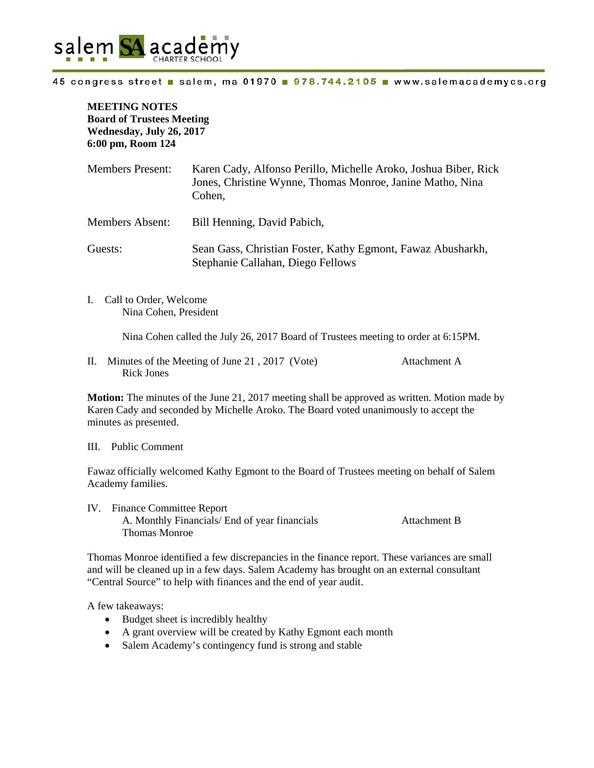

## 45 congress street salem, ma 01970 978.744.2105 www.salemacademycs.org

**MEETING NOTES Board of Trustees Meeting Wednesday, July 26, 2017 6:00 pm, Room 124**

| <b>Members Present:</b> | Karen Cady, Alfonso Perillo, Michelle Aroko, Joshua Biber, Rick<br>Jones, Christine Wynne, Thomas Monroe, Janine Matho, Nina<br>Cohen. |
|-------------------------|----------------------------------------------------------------------------------------------------------------------------------------|
| <b>Members Absent:</b>  | Bill Henning, David Pabich,                                                                                                            |
| Guests:                 | Sean Gass, Christian Foster, Kathy Egmont, Fawaz Abusharkh,<br>Stephanie Callahan, Diego Fellows                                       |

I. Call to Order, Welcome Nina Cohen, President

Nina Cohen called the July 26, 2017 Board of Trustees meeting to order at 6:15PM.

II. Minutes of the Meeting of June 21 , 2017 (Vote) Attachment A Rick Jones

**Motion:** The minutes of the June 21, 2017 meeting shall be approved as written. Motion made by Karen Cady and seconded by Michelle Aroko. The Board voted unanimously to accept the minutes as presented.

## III. Public Comment

Fawaz officially welcomed Kathy Egmont to the Board of Trustees meeting on behalf of Salem Academy families.

IV. Finance Committee Report A. Monthly Financials/ End of year financials Attachment B Thomas Monroe

Thomas Monroe identified a few discrepancies in the finance report. These variances are small and will be cleaned up in a few days. Salem Academy has brought on an external consultant "Central Source" to help with finances and the end of year audit.

A few takeaways:

- Budget sheet is incredibly healthy
- A grant overview will be created by Kathy Egmont each month
- Salem Academy's contingency fund is strong and stable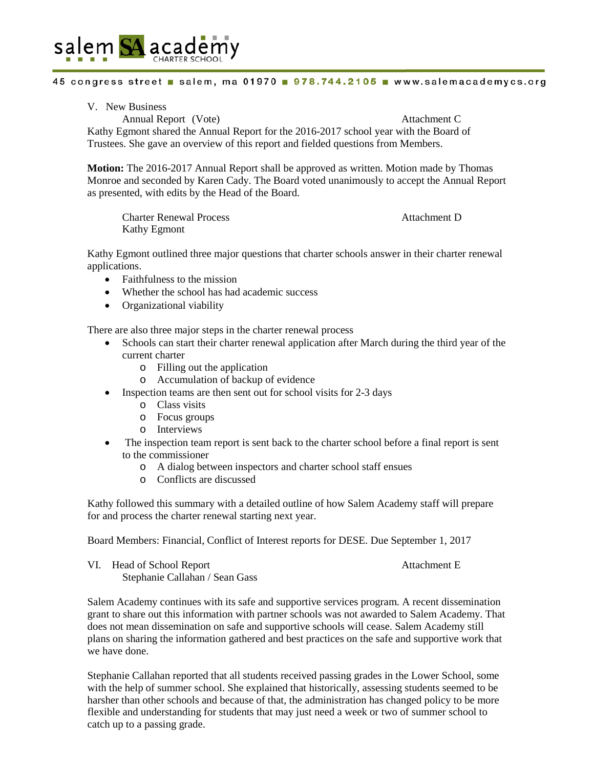

## 45 congress street salem, ma 01970 978.744.2105 www.salemacademycs.org

V. New Business

Annual Report (Vote) Attachment C Kathy Egmont shared the Annual Report for the 2016-2017 school year with the Board of Trustees. She gave an overview of this report and fielded questions from Members.

**Motion:** The 2016-2017 Annual Report shall be approved as written. Motion made by Thomas Monroe and seconded by Karen Cady. The Board voted unanimously to accept the Annual Report as presented, with edits by the Head of the Board.

Charter Renewal Process Attachment D Kathy Egmont

Kathy Egmont outlined three major questions that charter schools answer in their charter renewal applications.

- Faithfulness to the mission
- Whether the school has had academic success
- Organizational viability

There are also three major steps in the charter renewal process

- Schools can start their charter renewal application after March during the third year of the current charter
	- o Filling out the application
	- o Accumulation of backup of evidence
- Inspection teams are then sent out for school visits for 2-3 days
	- o Class visits
	- o Focus groups
	- o Interviews
- The inspection team report is sent back to the charter school before a final report is sent to the commissioner
	- o A dialog between inspectors and charter school staff ensues
	- o Conflicts are discussed

Kathy followed this summary with a detailed outline of how Salem Academy staff will prepare for and process the charter renewal starting next year.

Board Members: Financial, Conflict of Interest reports for DESE. Due September 1, 2017

VI. Head of School Report **Attachment E** Stephanie Callahan / Sean Gass

Salem Academy continues with its safe and supportive services program. A recent dissemination grant to share out this information with partner schools was not awarded to Salem Academy. That does not mean dissemination on safe and supportive schools will cease. Salem Academy still plans on sharing the information gathered and best practices on the safe and supportive work that we have done.

Stephanie Callahan reported that all students received passing grades in the Lower School, some with the help of summer school. She explained that historically, assessing students seemed to be harsher than other schools and because of that, the administration has changed policy to be more flexible and understanding for students that may just need a week or two of summer school to catch up to a passing grade.